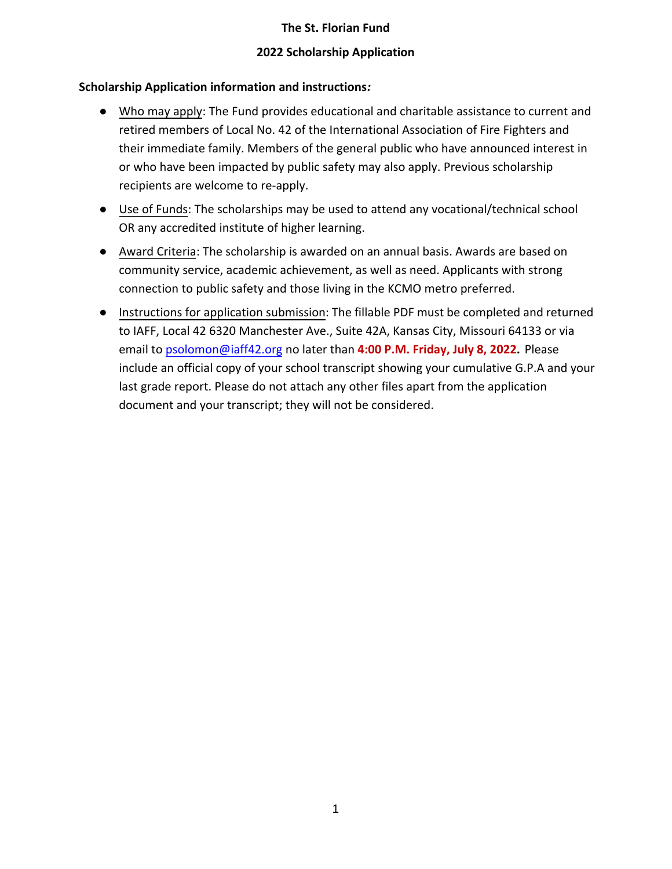## **2022 Scholarship Application**

## **Scholarship Application information and instructions***:*

- Who may apply: The Fund provides educational and charitable assistance to current and retired members of Local No. 42 of the International Association of Fire Fighters and their immediate family. Members of the general public who have announced interest in or who have been impacted by public safety may also apply. Previous scholarship recipients are welcome to re-apply.
- Use of Funds: The scholarships may be used to attend any vocational/technical school OR any accredited institute of higher learning.
- Award Criteria: The scholarship is awarded on an annual basis. Awards are based on community service, academic achievement, as well as need. Applicants with strong connection to public safety and those living in the KCMO metro preferred.
- Instructions for application submission: The fillable PDF must be completed and returned to IAFF, Local 42 6320 Manchester Ave., Suite 42A, Kansas City, Missouri 64133 or via email to [psolomon@iaff42.org](mailto:psolomon@iaff42.org) no later than **4:00 P.M. Friday, July 8, 2022.** Please include an official copy of your school transcript showing your cumulative G.P.A and your last grade report. Please do not attach any other files apart from the application document and your transcript; they will not be considered.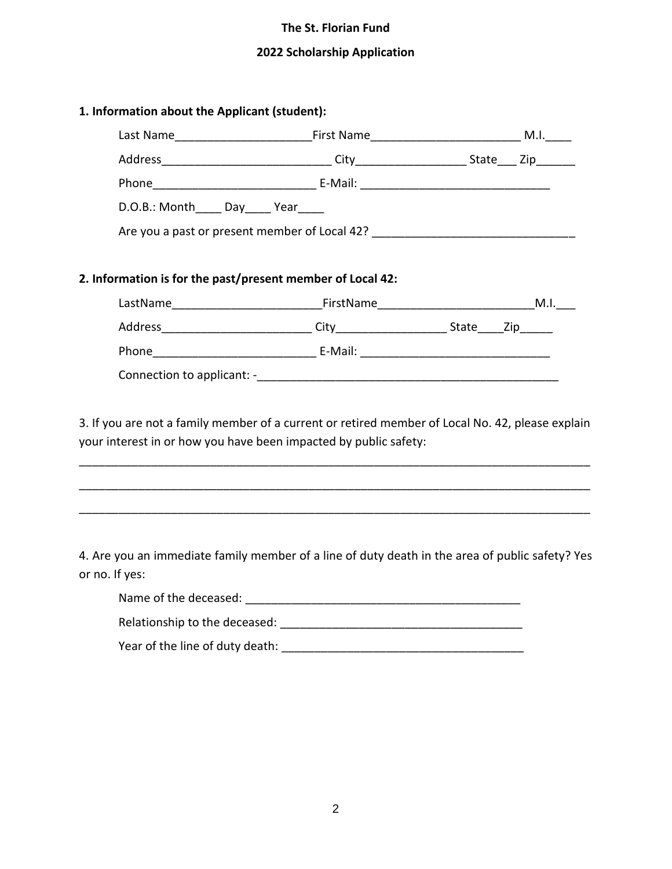# **2022 Scholarship Application**

| D.O.B.: Month_____ Day_____ Year_____                      |                                                                                                                                                                      |  |
|------------------------------------------------------------|----------------------------------------------------------------------------------------------------------------------------------------------------------------------|--|
|                                                            | Are you a past or present member of Local 42? __________________________________                                                                                     |  |
| 2. Information is for the past/present member of Local 42: |                                                                                                                                                                      |  |
|                                                            |                                                                                                                                                                      |  |
|                                                            |                                                                                                                                                                      |  |
|                                                            |                                                                                                                                                                      |  |
|                                                            | 3. If you are not a family member of a current or retired member of Local No. 42, please explain<br>your interest in or how you have been impacted by public safety: |  |
|                                                            | <u> 1980 - Jan Barnett, fransk politik (d. 1980)</u>                                                                                                                 |  |
| or no. If yes:                                             | 4. Are you an immediate family member of a line of duty death in the area of public safety? Yes                                                                      |  |
|                                                            |                                                                                                                                                                      |  |
|                                                            |                                                                                                                                                                      |  |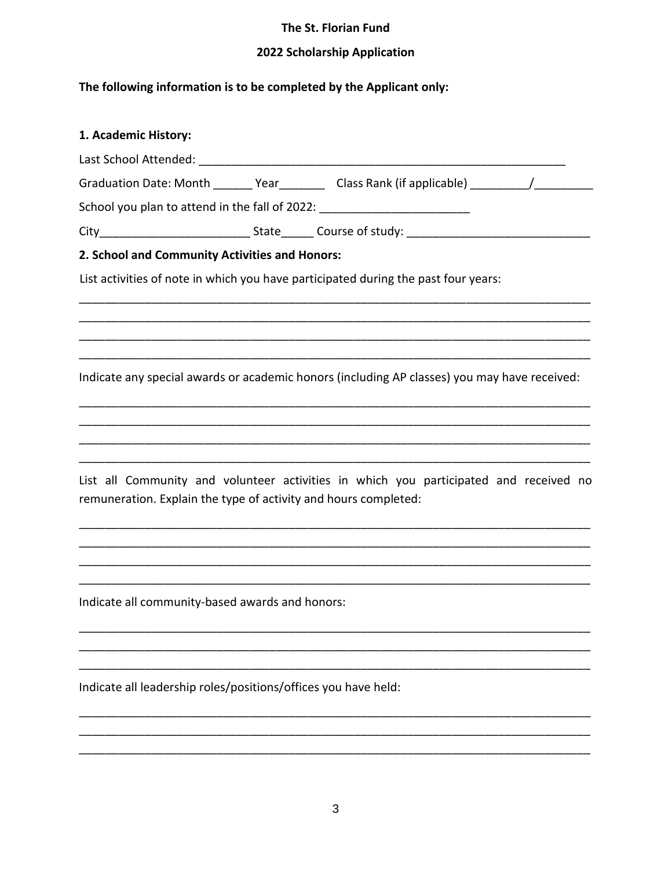## 2022 Scholarship Application

# The following information is to be completed by the Applicant only:

| 1. Academic History:                                                                           |  |
|------------------------------------------------------------------------------------------------|--|
|                                                                                                |  |
| Graduation Date: Month _______ Year __________ Class Rank (if applicable) __________ /________ |  |
|                                                                                                |  |
|                                                                                                |  |
| 2. School and Community Activities and Honors:                                                 |  |
| List activities of note in which you have participated during the past four years:             |  |
|                                                                                                |  |
|                                                                                                |  |
|                                                                                                |  |
| Indicate any special awards or academic honors (including AP classes) you may have received:   |  |
|                                                                                                |  |
|                                                                                                |  |
|                                                                                                |  |
| List all Community and volunteer activities in which you participated and received no          |  |
| remuneration. Explain the type of activity and hours completed:                                |  |
|                                                                                                |  |
|                                                                                                |  |
|                                                                                                |  |
| Indicate all community-based awards and honors:                                                |  |
|                                                                                                |  |
|                                                                                                |  |
|                                                                                                |  |

Indicate all leadership roles/positions/offices you have held: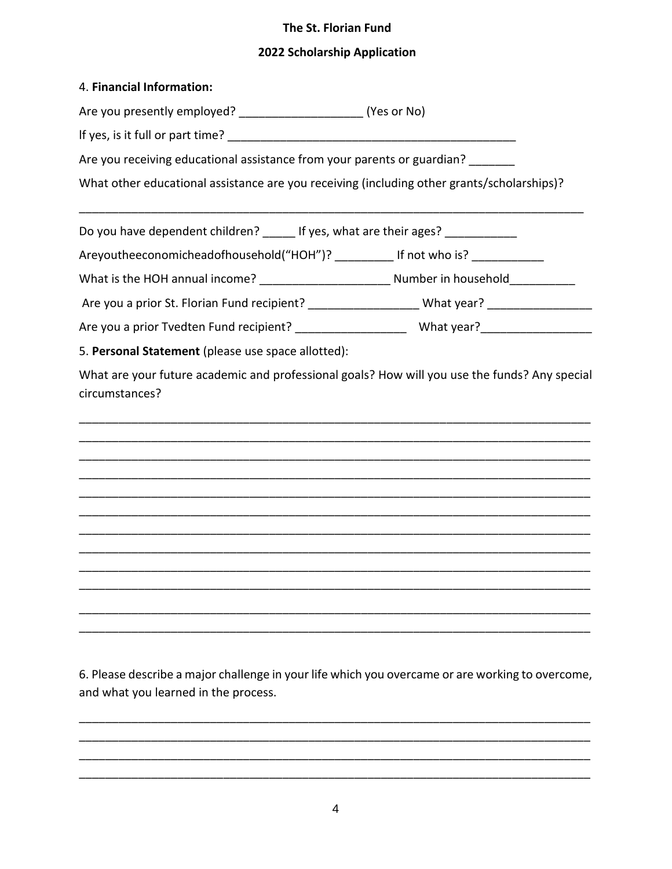#### **2022 Scholarship Application**

|  | 4. Financial Information: |
|--|---------------------------|
|--|---------------------------|

Are you presently employed?  $(Yes or No)$ 

lf yes, is it full or part time? \_\_\_\_\_\_\_\_\_\_\_\_\_\_\_\_\_\_\_\_\_\_\_\_\_\_\_\_\_\_\_\_\_\_\_\_\_\_\_\_\_\_\_\_

Are you receiving educational assistance from your parents or guardian?

What other educational assistance are you receiving (including other grants/scholarships)?

\_\_\_\_\_\_\_\_\_\_\_\_\_\_\_\_\_\_\_\_\_\_\_\_\_\_\_\_\_\_\_\_\_\_\_\_\_\_\_\_\_\_\_\_\_\_\_\_\_\_\_\_\_\_\_\_\_\_\_\_\_\_\_\_\_\_\_\_\_\_\_\_\_\_\_\_\_

Do you have dependent children? If yes, what are their ages?

Areyoutheeconomichead of household ("HOH")? \_\_\_\_\_\_\_\_\_\_\_ If not who is? \_\_\_\_\_\_\_\_\_

What is the HOH annual income? \_\_\_\_\_\_\_\_\_\_\_\_\_\_\_\_\_\_\_\_ Number in household\_\_\_\_\_\_\_\_\_\_

Are you a prior St. Florian Fund recipient? \_\_\_\_\_\_\_\_\_\_\_\_\_\_\_\_\_\_\_\_What year? \_\_\_\_\_\_\_\_\_\_\_\_\_\_\_\_\_\_\_\_\_\_\_\_\_\_\_\_\_\_\_\_\_\_\_

Are you a prior Tvedten Fund recipient? \_\_\_\_\_\_\_\_\_\_\_\_\_\_\_\_\_\_\_\_\_\_What year? \_\_\_\_\_\_\_\_\_\_\_\_\_\_

5. **Personal Statement** (please use space allotted):

What are your future academic and professional goals? How will you use the funds? Any special circumstances?



6. Please describe a major challenge in your life which you overcame or are working to overcome, and what you learned in the process.

\_\_\_\_\_\_\_\_\_\_\_\_\_\_\_\_\_\_\_\_\_\_\_\_\_\_\_\_\_\_\_\_\_\_\_\_\_\_\_\_\_\_\_\_\_\_\_\_\_\_\_\_\_\_\_\_\_\_\_\_\_\_\_\_\_\_\_\_\_\_\_\_\_\_\_\_\_\_ \_\_\_\_\_\_\_\_\_\_\_\_\_\_\_\_\_\_\_\_\_\_\_\_\_\_\_\_\_\_\_\_\_\_\_\_\_\_\_\_\_\_\_\_\_\_\_\_\_\_\_\_\_\_\_\_\_\_\_\_\_\_\_\_\_\_\_\_\_\_\_\_\_\_\_\_\_\_ \_\_\_\_\_\_\_\_\_\_\_\_\_\_\_\_\_\_\_\_\_\_\_\_\_\_\_\_\_\_\_\_\_\_\_\_\_\_\_\_\_\_\_\_\_\_\_\_\_\_\_\_\_\_\_\_\_\_\_\_\_\_\_\_\_\_\_\_\_\_\_\_\_\_\_\_\_\_ \_\_\_\_\_\_\_\_\_\_\_\_\_\_\_\_\_\_\_\_\_\_\_\_\_\_\_\_\_\_\_\_\_\_\_\_\_\_\_\_\_\_\_\_\_\_\_\_\_\_\_\_\_\_\_\_\_\_\_\_\_\_\_\_\_\_\_\_\_\_\_\_\_\_\_\_\_\_